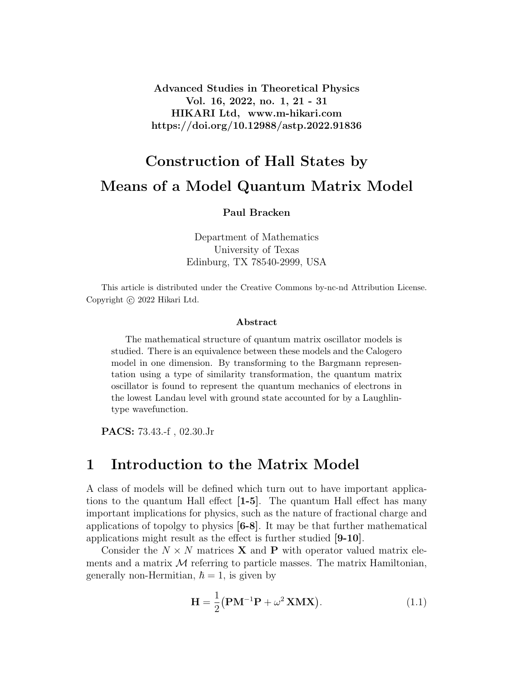Advanced Studies in Theoretical Physics Vol. 16, 2022, no. 1, 21 - 31 HIKARI Ltd, www.m-hikari.com https://doi.org/10.12988/astp.2022.91836

# Construction of Hall States by Means of a Model Quantum Matrix Model

Paul Bracken

Department of Mathematics University of Texas Edinburg, TX 78540-2999, USA

This article is distributed under the Creative Commons by-nc-nd Attribution License. Copyright © 2022 Hikari Ltd.

#### Abstract

The mathematical structure of quantum matrix oscillator models is studied. There is an equivalence between these models and the Calogero model in one dimension. By transforming to the Bargmann representation using a type of similarity transformation, the quantum matrix oscillator is found to represent the quantum mechanics of electrons in the lowest Landau level with ground state accounted for by a Laughlintype wavefunction.

PACS: 73.43.-f , 02.30.Jr

### 1 Introduction to the Matrix Model

A class of models will be defined which turn out to have important applications to the quantum Hall effect [1-5]. The quantum Hall effect has many important implications for physics, such as the nature of fractional charge and applications of topolgy to physics [6-8]. It may be that further mathematical applications might result as the effect is further studied [9-10].

Consider the  $N \times N$  matrices **X** and **P** with operator valued matrix elements and a matrix  $\mathcal M$  referring to particle masses. The matrix Hamiltonian, generally non-Hermitian,  $\hbar = 1$ , is given by

$$
\mathbf{H} = \frac{1}{2} (\mathbf{P}\mathbf{M}^{-1}\mathbf{P} + \omega^2 \mathbf{X}\mathbf{M}\mathbf{X}).
$$
 (1.1)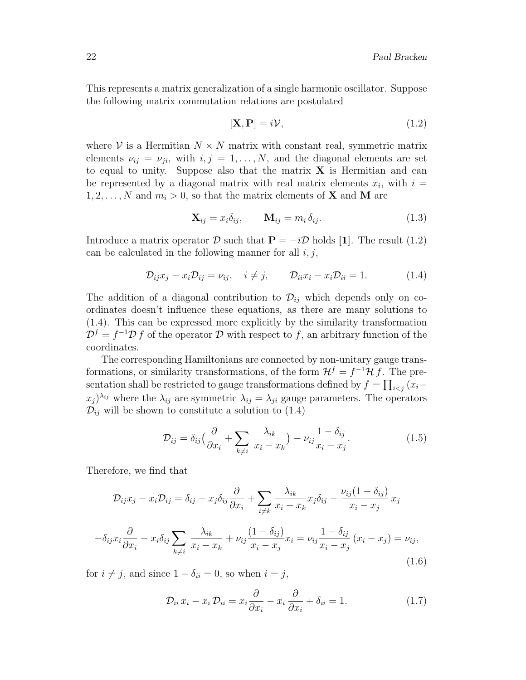This represents a matrix generalization of a single harmonic oscillator. Suppose the following matrix commutation relations are postulated

$$
[\mathbf{X}, \mathbf{P}] = i\mathcal{V},\tag{1.2}
$$

where  $V$  is a Hermitian  $N \times N$  matrix with constant real, symmetric matrix elements  $\nu_{ij} = \nu_{ji}$ , with  $i, j = 1, ..., N$ , and the diagonal elements are set to equal to unity. Suppose also that the matrix  $X$  is Hermitian and can be represented by a diagonal matrix with real matrix elements  $x_i$ , with  $i =$  $1, 2, \ldots, N$  and  $m_i > 0$ , so that the matrix elements of **X** and **M** are

$$
\mathbf{X}_{ij} = x_i \delta_{ij}, \qquad \mathbf{M}_{ij} = m_i \delta_{ij}.
$$
 (1.3)

Introduce a matrix operator  $\mathcal D$  such that  $\mathbf P = -i\mathcal D$  holds [1]. The result (1.2) can be calculated in the following manner for all  $i, j$ ,

$$
\mathcal{D}_{ij}x_j - x_i \mathcal{D}_{ij} = \nu_{ij}, \quad i \neq j, \qquad \mathcal{D}_{ii}x_i - x_i \mathcal{D}_{ii} = 1. \tag{1.4}
$$

The addition of a diagonal contribution to  $\mathcal{D}_{ij}$  which depends only on coordinates doesn't influence these equations, as there are many solutions to (1.4). This can be expressed more explicitly by the similarity transformation  $\mathcal{D}^f = f^{-1} \mathcal{D} f$  of the operator  $\mathcal D$  with respect to f, an arbitrary function of the coordinates.

The corresponding Hamiltonians are connected by non-unitary gauge transformations, or similarity transformations, of the form  $\mathcal{H}^f = f^{-1}\mathcal{H} f$ . The presentation shall be restricted to gauge transformations defined by  $f = \prod_{i < j} (x_i (x_j)^{\lambda_{ij}}$  where the  $\lambda_{ij}$  are symmetric  $\lambda_{ij} = \lambda_{ji}$  gauge parameters. The operators  $\mathcal{D}_{ij}$  will be shown to constitute a solution to (1.4)

$$
\mathcal{D}_{ij} = \delta_{ij} \left( \frac{\partial}{\partial x_i} + \sum_{k \neq i} \frac{\lambda_{ik}}{x_i - x_k} \right) - \nu_{ij} \frac{1 - \delta_{ij}}{x_i - x_j}.
$$
\n(1.5)

Therefore, we find that

$$
\mathcal{D}_{ij}x_j - x_i \mathcal{D}_{ij} = \delta_{ij} + x_j \delta_{ij} \frac{\partial}{\partial x_i} + \sum_{i \neq k} \frac{\lambda_{ik}}{x_i - x_k} x_j \delta_{ij} - \frac{\nu_{ij}(1 - \delta_{ij})}{x_i - x_j} x_j
$$

$$
-\delta_{ij}x_i \frac{\partial}{\partial x_i} - x_i \delta_{ij} \sum_{k \neq i} \frac{\lambda_{ik}}{x_i - x_k} + \nu_{ij} \frac{(1 - \delta_{ij})}{x_i - x_j} x_i = \nu_{ij} \frac{1 - \delta_{ij}}{x_i - x_j} (x_i - x_j) = \nu_{ij},
$$
(1.6)

for  $i \neq j$ , and since  $1 - \delta_{ii} = 0$ , so when  $i = j$ ,

$$
\mathcal{D}_{ii} x_i - x_i \mathcal{D}_{ii} = x_i \frac{\partial}{\partial x_i} - x_i \frac{\partial}{\partial x_i} + \delta_{ii} = 1.
$$
 (1.7)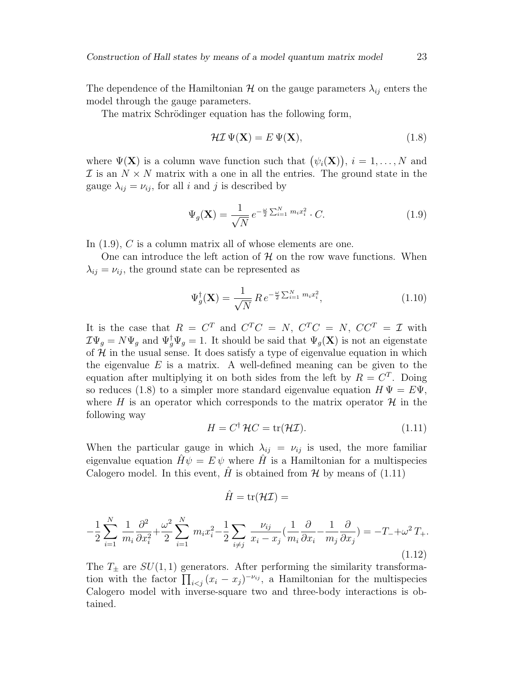The dependence of the Hamiltonian  $\mathcal H$  on the gauge parameters  $\lambda_{ij}$  enters the model through the gauge parameters.

The matrix Schrödinger equation has the following form,

$$
\mathcal{H}\mathcal{I}\,\Psi(\mathbf{X}) = E\,\Psi(\mathbf{X}),\tag{1.8}
$$

where  $\Psi(\mathbf{X})$  is a column wave function such that  $(\psi_i(\mathbf{X}))$ ,  $i = 1, \ldots, N$  and  $\mathcal I$  is an  $N \times N$  matrix with a one in all the entries. The ground state in the gauge  $\lambda_{ij} = \nu_{ij}$ , for all i and j is described by

$$
\Psi_g(\mathbf{X}) = \frac{1}{\sqrt{N}} e^{-\frac{\omega}{2} \sum_{i=1}^N m_i x_i^2} \cdot C.
$$
\n(1.9)

In  $(1.9)$ , C is a column matrix all of whose elements are one.

One can introduce the left action of  $H$  on the row wave functions. When  $\lambda_{ij} = \nu_{ij}$ , the ground state can be represented as

$$
\Psi_g^{\dagger}(\mathbf{X}) = \frac{1}{\sqrt{N}} \, R \, e^{-\frac{\omega}{2} \sum_{i=1}^{N} m_i x_i^2},\tag{1.10}
$$

It is the case that  $R = C^T$  and  $C^T C = N$ ,  $C^T C = N$ ,  $C C^T = \mathcal{I}$  with  $\mathcal{I}\Psi_g = N\Psi_g$  and  $\Psi_g^{\dagger}\Psi_g = 1$ . It should be said that  $\Psi_g(\mathbf{X})$  is not an eigenstate of  $H$  in the usual sense. It does satisfy a type of eigenvalue equation in which the eigenvalue  $E$  is a matrix. A well-defined meaning can be given to the equation after multiplying it on both sides from the left by  $R = C<sup>T</sup>$ . Doing so reduces (1.8) to a simpler more standard eigenvalue equation  $H \Psi = E \Psi$ , where H is an operator which corresponds to the matrix operator  $\mathcal{H}$  in the following way

$$
H = C^{\dagger} \mathcal{H} C = \text{tr}(\mathcal{H} \mathcal{I}). \tag{1.11}
$$

When the particular gauge in which  $\lambda_{ij} = \nu_{ij}$  is used, the more familiar eigenvalue equation  $H\psi = E\psi$  where H is a Hamiltonian for a multispecies Calogero model. In this event, H is obtained from  $\mathcal{H}$  by means of (1.11)

$$
\hat{H} = \mathrm{tr}(\mathcal{H}\mathcal{I}) =
$$

$$
-\frac{1}{2}\sum_{i=1}^{N}\frac{1}{m_i}\frac{\partial^2}{\partial x_i^2} + \frac{\omega^2}{2}\sum_{i=1}^{N}m_ix_i^2 - \frac{1}{2}\sum_{i\neq j}\frac{\nu_{ij}}{x_i - x_j}(\frac{1}{m_i}\frac{\partial}{\partial x_i} - \frac{1}{m_j}\frac{\partial}{\partial x_j}) = -T + \omega^2 T_+.
$$
\n(1.12)

The  $T_{\pm}$  are  $SU(1,1)$  generators. After performing the similarity transformation with the factor  $\prod_{i < j} (x_i - x_j)^{-\nu_{ij}}$ , a Hamiltonian for the multispecies Calogero model with inverse-square two and three-body interactions is obtained.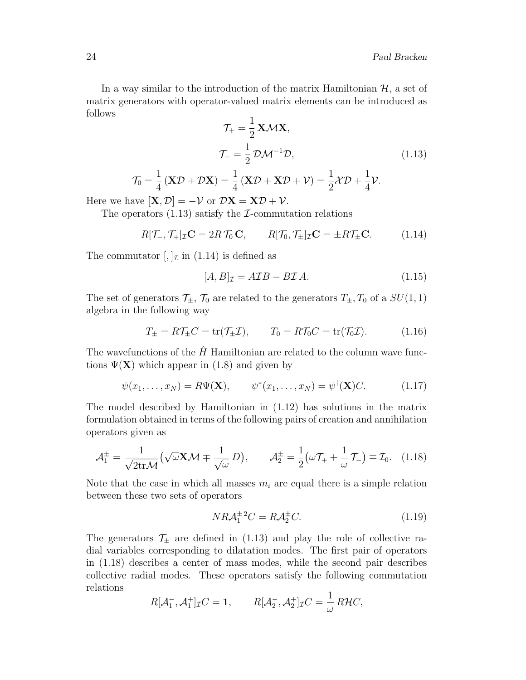In a way similar to the introduction of the matrix Hamiltonian  $H$ , a set of matrix generators with operator-valued matrix elements can be introduced as follows

$$
\mathcal{T}_{+} = \frac{1}{2} \mathbf{X} \mathcal{M} \mathbf{X},
$$

$$
\mathcal{T}_{-} = \frac{1}{2} \mathcal{D} \mathcal{M}^{-1} \mathcal{D},
$$

$$
(\mathbf{X} \mathcal{D} + \mathcal{D} \mathbf{X}) = \frac{1}{4} (\mathbf{X} \mathcal{D} + \mathbf{X} \mathcal{D} + \mathcal{V}) = \frac{1}{2} \mathcal{X} \mathcal{D} + \frac{1}{4} \mathcal{V}.
$$
(1.13)

Here we have  $[\mathbf{X}, \mathcal{D}] = -\mathcal{V}$  or  $\mathcal{D}\mathbf{X} = \mathbf{X}\mathcal{D} + \mathcal{V}$ .

 $\mathcal{T}_0 = \frac{1}{4}$ 4

The operators  $(1.13)$  satisfy the *I*-commutation relations

$$
R[\mathcal{T}_{-}, \mathcal{T}_{+}]_{\mathcal{I}} \mathbf{C} = 2R \mathcal{T}_{0} \mathbf{C}, \qquad R[\mathcal{T}_{0}, \mathcal{T}_{\pm}]_{\mathcal{I}} \mathbf{C} = \pm R \mathcal{T}_{\pm} \mathbf{C}.
$$
 (1.14)

The commutator  $\left[\frac{1}{\pi}\right]$  in  $(1.14)$  is defined as

$$
[A,B]_{\mathcal{I}} = A\mathcal{I}B - B\mathcal{I}A.
$$
\n(1.15)

The set of generators  $\mathcal{T}_{\pm}$ ,  $\mathcal{T}_0$  are related to the generators  $T_{\pm}$ ,  $T_0$  of a  $SU(1, 1)$ algebra in the following way

$$
T_{\pm} = R\mathcal{T}_{\pm}C = \text{tr}(\mathcal{T}_{\pm}\mathcal{I}), \qquad T_0 = R\mathcal{T}_0C = \text{tr}(\mathcal{T}_0\mathcal{I}). \tag{1.16}
$$

The wavefunctions of the  $\hat{H}$  Hamiltonian are related to the column wave functions  $\Psi(\mathbf{X})$  which appear in (1.8) and given by

$$
\psi(x_1,\ldots,x_N)=R\Psi(\mathbf{X}),\qquad \psi^*(x_1,\ldots,x_N)=\psi^\dagger(\mathbf{X})C.\tag{1.17}
$$

The model described by Hamiltonian in (1.12) has solutions in the matrix formulation obtained in terms of the following pairs of creation and annihilation operators given as

$$
\mathcal{A}_{1}^{\pm} = \frac{1}{\sqrt{2\text{tr}\mathcal{M}}} \left( \sqrt{\omega} \mathbf{X} \mathcal{M} \mp \frac{1}{\sqrt{\omega}} D \right), \qquad \mathcal{A}_{2}^{\pm} = \frac{1}{2} \left( \omega \mathcal{T}_{+} + \frac{1}{\omega} \mathcal{T}_{-} \right) \mp \mathcal{I}_{0}. \tag{1.18}
$$

Note that the case in which all masses  $m_i$  are equal there is a simple relation between these two sets of operators

$$
N R \mathcal{A}_1^{\pm 2} C = R \mathcal{A}_2^{\pm} C. \tag{1.19}
$$

The generators  $\mathcal{T}_{\pm}$  are defined in (1.13) and play the role of collective radial variables corresponding to dilatation modes. The first pair of operators in (1.18) describes a center of mass modes, while the second pair describes collective radial modes. These operators satisfy the following commutation relations

$$
R[\mathcal{A}_1^-, \mathcal{A}_1^+]_{\mathcal{I}} C = \mathbf{1}, \qquad R[\mathcal{A}_2^-, \mathcal{A}_2^+]_{\mathcal{I}} C = \frac{1}{\omega} R\mathcal{H} C,
$$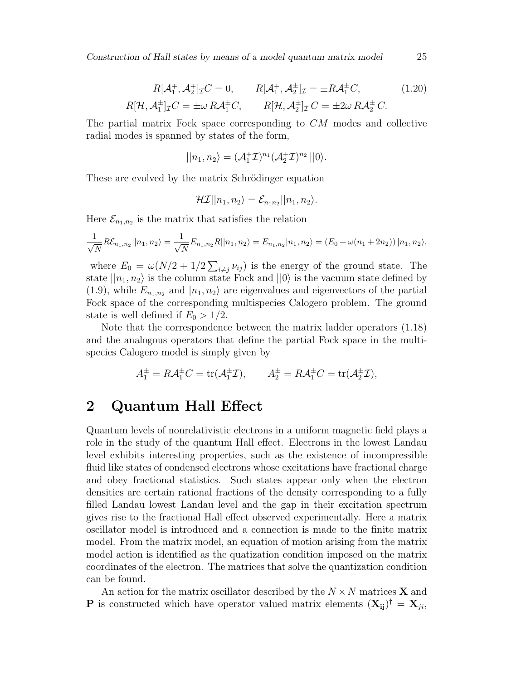Construction of Hall states by means of a model quantum matrix model 25

$$
R[\mathcal{A}_1^{\mp}, \mathcal{A}_2^{\mp}]_T C = 0, \qquad R[\mathcal{A}_1^{\mp}, \mathcal{A}_2^{\pm}]_T = \pm R \mathcal{A}_1^{\pm} C, \tag{1.20}
$$

$$
R[\mathcal{H}, \mathcal{A}_1^{\pm}]_T C = \pm \omega R \mathcal{A}_1^{\pm} C, \qquad R[\mathcal{H}, \mathcal{A}_2^{\pm}]_T C = \pm 2\omega R \mathcal{A}_2^{\pm} C.
$$

The partial matrix Fock space corresponding to CM modes and collective radial modes is spanned by states of the form,

$$
||n_1, n_2\rangle = (\mathcal{A}_1^{\dagger} \mathcal{I})^{n_1} (\mathcal{A}_2^{\dagger} \mathcal{I})^{n_2} ||0\rangle.
$$

These are evolved by the matrix Schrödinger equation

$$
\mathcal{H}\mathcal{I}||n_1,n_2\rangle = \mathcal{E}_{n_1n_2}||n_1,n_2\rangle.
$$

Here  $\mathcal{E}_{n_1,n_2}$  is the matrix that satisfies the relation

$$
\frac{1}{\sqrt{N}}R\mathcal{E}_{n_1,n_2}||n_1,n_2\rangle = \frac{1}{\sqrt{N}}E_{n_1,n_2}R||n_1,n_2\rangle = E_{n_1,n_2}|n_1,n_2\rangle = (E_0 + \omega(n_1 + 2n_2))|n_1,n_2\rangle.
$$

where  $E_0 = \omega(N/2 + 1/2 \sum_{i \neq j} \nu_{ij})$  is the energy of the ground state. The state  $||n_1, n_2\rangle$  is the column state Fock and  $||0\rangle$  is the vacuum state defined by  $(1.9)$ , while  $E_{n_1,n_2}$  and  $|n_1,n_2\rangle$  are eigenvalues and eigenvectors of the partial Fock space of the corresponding multispecies Calogero problem. The ground state is well defined if  $E_0 > 1/2$ .

Note that the correspondence between the matrix ladder operators (1.18) and the analogous operators that define the partial Fock space in the multispecies Calogero model is simply given by

$$
A_1^{\pm} = R \mathcal{A}_1^{\pm} C = \text{tr}(\mathcal{A}_1^{\pm} \mathcal{I}), \qquad A_2^{\pm} = R \mathcal{A}_1^{\pm} C = \text{tr}(\mathcal{A}_2^{\pm} \mathcal{I}),
$$

#### 2 Quantum Hall Effect

Quantum levels of nonrelativistic electrons in a uniform magnetic field plays a role in the study of the quantum Hall effect. Electrons in the lowest Landau level exhibits interesting properties, such as the existence of incompressible fluid like states of condensed electrons whose excitations have fractional charge and obey fractional statistics. Such states appear only when the electron densities are certain rational fractions of the density corresponding to a fully filled Landau lowest Landau level and the gap in their excitation spectrum gives rise to the fractional Hall effect observed experimentally. Here a matrix oscillator model is introduced and a connection is made to the finite matrix model. From the matrix model, an equation of motion arising from the matrix model action is identified as the quatization condition imposed on the matrix coordinates of the electron. The matrices that solve the quantization condition can be found.

An action for the matrix oscillator described by the  $N \times N$  matrices **X** and **P** is constructed which have operator valued matrix elements  $(X_{ij})^{\dagger} = X_{ji}$ ,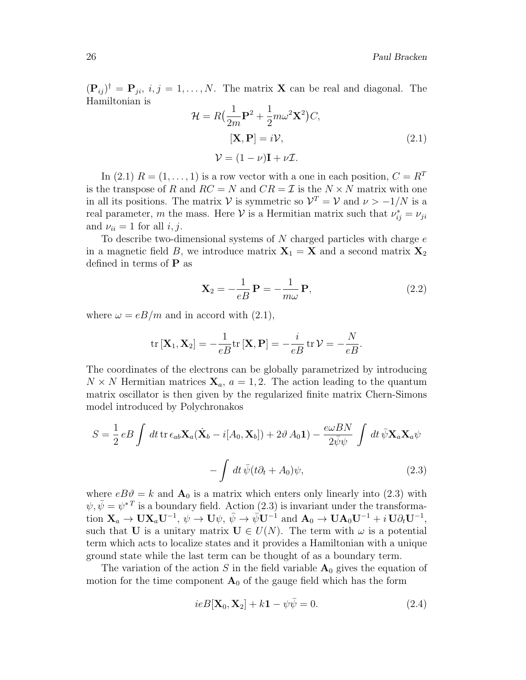$(\mathbf{P}_{ij})^{\dagger} = \mathbf{P}_{ji}, i, j = 1, \ldots, N.$  The matrix **X** can be real and diagonal. The Hamiltonian is

$$
\mathcal{H} = R\left(\frac{1}{2m}\mathbf{P}^2 + \frac{1}{2}m\omega^2\mathbf{X}^2\right)C,
$$
  
\n
$$
[\mathbf{X}, \mathbf{P}] = i\mathcal{V},
$$
  
\n
$$
\mathcal{V} = (1 - \nu)\mathbf{I} + \nu\mathcal{I}.
$$
\n(2.1)

In (2.1)  $R = (1, \ldots, 1)$  is a row vector with a one in each position,  $C = R<sup>T</sup>$ is the transpose of R and  $RC = N$  and  $CR = \mathcal{I}$  is the  $N \times N$  matrix with one in all its positions. The matrix  $V$  is symmetric so  $V^T = V$  and  $\nu > -1/N$  is a real parameter, m the mass. Here  $V$  is a Hermitian matrix such that  $\nu_{ij}^* = \nu_{ji}$ and  $\nu_{ii} = 1$  for all  $i, j$ .

To describe two-dimensional systems of  $N$  charged particles with charge  $e$ in a magnetic field B, we introduce matrix  $X_1 = X$  and a second matrix  $X_2$ defined in terms of  $P$  as

$$
\mathbf{X}_2 = -\frac{1}{eB} \mathbf{P} = -\frac{1}{m\omega} \mathbf{P},\qquad(2.2)
$$

where  $\omega = eB/m$  and in accord with (2.1),

$$
\mathrm{tr}\left[\mathbf{X}_1,\mathbf{X}_2\right] = -\frac{1}{eB}\mathrm{tr}\left[\mathbf{X},\mathbf{P}\right] = -\frac{i}{eB}\mathrm{tr}\,\mathcal{V} = -\frac{N}{eB}.
$$

The coordinates of the electrons can be globally parametrized by introducing  $N \times N$  Hermitian matrices  $\mathbf{X}_a$ ,  $a = 1, 2$ . The action leading to the quantum matrix oscillator is then given by the regularized finite matrix Chern-Simons model introduced by Polychronakos

$$
S = \frac{1}{2} e B \int dt \operatorname{tr} \epsilon_{ab} \mathbf{X}_a (\dot{\mathbf{X}}_b - i[A_0, \mathbf{X}_b]) + 2 \vartheta A_0 \mathbf{1}) - \frac{e \omega B N}{2 \bar{\psi} \psi} \int dt \, \bar{\psi} \mathbf{X}_a \mathbf{X}_a \psi - \int dt \, \bar{\psi} (t \partial_t + A_0) \psi,
$$
\n(2.3)

where  $eB\vartheta = k$  and  $\mathbf{A}_0$  is a matrix which enters only linearly into (2.3) with  $\psi, \bar{\psi} = \psi^{*T}$  is a boundary field. Action (2.3) is invariant under the transforma- $\text{tion }\mathbf{X}_a\to \mathbf{U}\mathbf{X}_a\mathbf{U}^{-1},\ \psi\to \mathbf{U}\psi,\ \bar{\psi}\to \bar{\psi}\mathbf{U}^{-1}\ \text{and }\mathbf{A}_0\to \mathbf{U}\mathbf{A}_0\mathbf{U}^{-1}+i\,\mathbf{U}\partial_t\mathbf{U}^{-1},$ such that U is a unitary matrix  $U \in U(N)$ . The term with  $\omega$  is a potential term which acts to localize states and it provides a Hamiltonian with a unique ground state while the last term can be thought of as a boundary term.

The variation of the action S in the field variable  $A_0$  gives the equation of motion for the time component  $A_0$  of the gauge field which has the form

$$
ieB[\mathbf{X}_0, \mathbf{X}_2] + k\mathbf{1} - \psi \bar{\psi} = 0.
$$
 (2.4)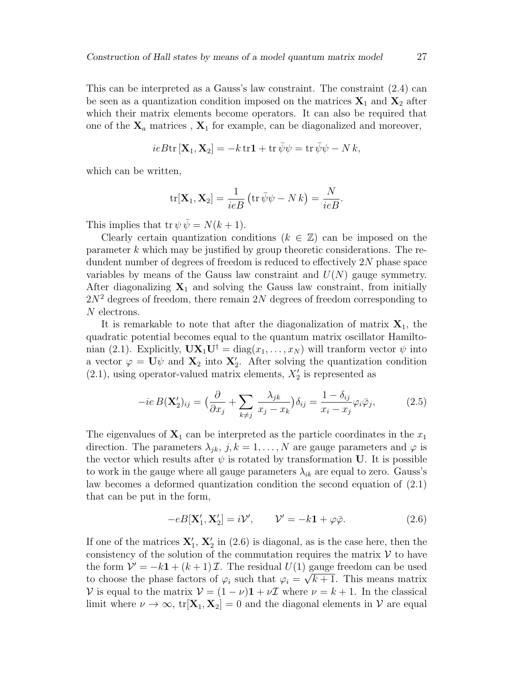This can be interpreted as a Gauss's law constraint. The constraint (2.4) can be seen as a quantization condition imposed on the matrices  $X_1$  and  $X_2$  after which their matrix elements become operators. It can also be required that one of the  $X_a$  matrices,  $X_1$  for example, can be diagonalized and moreover,

$$
ieB\mathrm{tr}\left[\mathbf{X}_1,\mathbf{X}_2\right] = -k\,\mathrm{tr}\mathbf{1} + \mathrm{tr}\,\bar{\psi}\psi = \mathrm{tr}\,\bar{\psi}\psi - N\,k,
$$

which can be written,

$$
\mathrm{tr}[\mathbf{X}_1, \mathbf{X}_2] = \frac{1}{ieB} \left( \mathrm{tr} \,\overline{\psi}\psi - N k \right) = \frac{N}{ieB}.
$$

This implies that tr  $\psi \overline{\psi} = N(k+1)$ .

Clearly certain quantization conditions  $(k \in \mathbb{Z})$  can be imposed on the parameter k which may be justified by group theoretic considerations. The redundent number of degrees of freedom is reduced to effectively 2N phase space variables by means of the Gauss law constraint and  $U(N)$  gauge symmetry. After diagonalizing  $X_1$  and solving the Gauss law constraint, from initially  $2N^2$  degrees of freedom, there remain  $2N$  degrees of freedom corresponding to N electrons.

It is remarkable to note that after the diagonalization of matrix  $X_1$ , the quadratic potential becomes equal to the quantum matrix oscillator Hamiltonian (2.1). Explicitly,  $\mathbf{U}\mathbf{X}_1\mathbf{U}^{\dagger} = \text{diag}(x_1,\ldots,x_N)$  will tranform vector  $\psi$  into a vector  $\varphi = \mathbf{U}\psi$  and  $\mathbf{X}_2$  into  $\mathbf{X}'_2$ . After solving the quantization condition  $(2.1)$ , using operator-valued matrix elements,  $X'_2$  is represented as

$$
-ie B(\mathbf{X}_2')_{ij} = \left(\frac{\partial}{\partial x_j} + \sum_{k \neq j} \frac{\lambda_{jk}}{x_j - x_k}\right) \delta_{ij} = \frac{1 - \delta_{ij}}{x_i - x_j} \varphi_i \bar{\varphi}_j,\tag{2.5}
$$

The eigenvalues of  $X_1$  can be interpreted as the particle coordinates in the  $x_1$ direction. The parameters  $\lambda_{jk}$ ,  $j, k = 1, ..., N$  are gauge parameters and  $\varphi$  is the vector which results after  $\psi$  is rotated by transformation U. It is possible to work in the gauge where all gauge parameters  $\lambda_{ik}$  are equal to zero. Gauss's law becomes a deformed quantization condition the second equation of (2.1) that can be put in the form,

$$
-eB[\mathbf{X}'_1, \mathbf{X}'_2] = i\mathcal{V}', \qquad \mathcal{V}' = -k\mathbf{1} + \varphi\bar{\varphi}.
$$
 (2.6)

If one of the matrices  $\mathbf{X}'_1$ ,  $\mathbf{X}'_2$  in (2.6) is diagonal, as is the case here, then the consistency of the solution of the commutation requires the matrix  $\mathcal V$  to have the form  $V' = -k\mathbf{1} + (k+1)\mathcal{I}$ . The residual  $U(1)$  gauge freedom can be used to choose the phase factors of  $\varphi_i$  such that  $\varphi_i = \sqrt{k+1}$ . This means matrix V is equal to the matrix  $V = (1 - \nu)\mathbf{1} + \nu\mathbf{I}$  where  $\nu = k + 1$ . In the classical limit where  $\nu \to \infty$ , tr $[\mathbf{X}_1, \mathbf{X}_2] = 0$  and the diagonal elements in  $\mathcal V$  are equal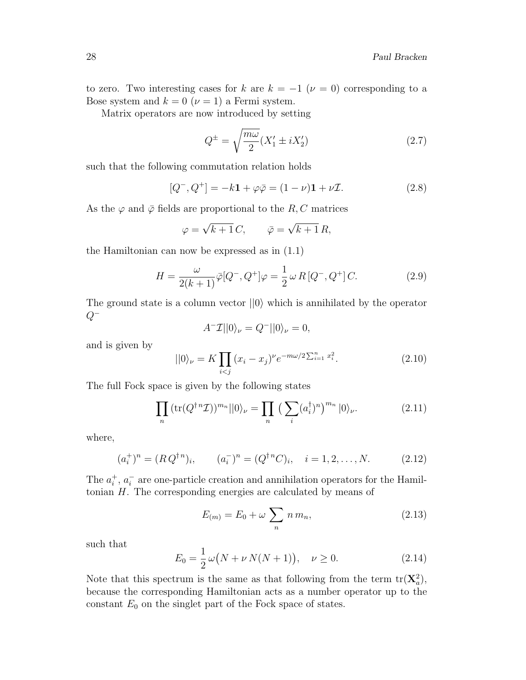to zero. Two interesting cases for k are  $k = -1$  ( $\nu = 0$ ) corresponding to a Bose system and  $k = 0$  ( $\nu = 1$ ) a Fermi system.

Matrix operators are now introduced by setting

$$
Q^{\pm} = \sqrt{\frac{m\omega}{2}} (X_1' \pm iX_2') \tag{2.7}
$$

such that the following commutation relation holds

$$
[Q^-, Q^+] = -k\mathbf{1} + \varphi \bar{\varphi} = (1 - \nu)\mathbf{1} + \nu \mathcal{I}.
$$
 (2.8)

As the  $\varphi$  and  $\bar{\varphi}$  fields are proportional to the R, C matrices

$$
\varphi = \sqrt{k+1} C, \qquad \bar{\varphi} = \sqrt{k+1} R,
$$

the Hamiltonian can now be expressed as in (1.1)

$$
H = \frac{\omega}{2(k+1)} \bar{\varphi}[Q^-, Q^+] \varphi = \frac{1}{2} \omega R [Q^-, Q^+] C. \tag{2.9}
$$

The ground state is a column vector  $||0\rangle$  which is annihilated by the operator  $Q^-$ 

$$
A^- \mathcal{I} ||0\rangle_{\nu} = Q^- ||0\rangle_{\nu} = 0,
$$

and is given by

$$
||0\rangle_{\nu} = K \prod_{i < j} (x_i - x_j)^{\nu} e^{-m\omega/2 \sum_{i=1}^n x_i^2}.
$$
\n(2.10)

The full Fock space is given by the following states

$$
\prod_{n} \left( \text{tr}(Q^{\dagger n} \mathcal{I}) \right)^{m_n} ||0\rangle_{\nu} = \prod_{n} \left( \sum_{i} (a_i^{\dagger})^n \right)^{m_n} |0\rangle_{\nu}. \tag{2.11}
$$

where,

$$
(a_i^+)^n = (R Q^{\dagger n})_i, \qquad (a_i^-)^n = (Q^{\dagger n} C)_i, \quad i = 1, 2, \dots, N. \tag{2.12}
$$

The  $a_i^+$  $i^+, a_i^ \overline{i}$  are one-particle creation and annihilation operators for the Hamiltonian  $H$ . The corresponding energies are calculated by means of

$$
E_{(m)} = E_0 + \omega \sum_n n \, m_n,\tag{2.13}
$$

such that

$$
E_0 = \frac{1}{2}\omega(N + \nu N(N + 1)), \quad \nu \ge 0.
$$
 (2.14)

Note that this spectrum is the same as that following from the term  $tr(\mathbf{X}_a^2)$ , because the corresponding Hamiltonian acts as a number operator up to the constant  $E_0$  on the singlet part of the Fock space of states.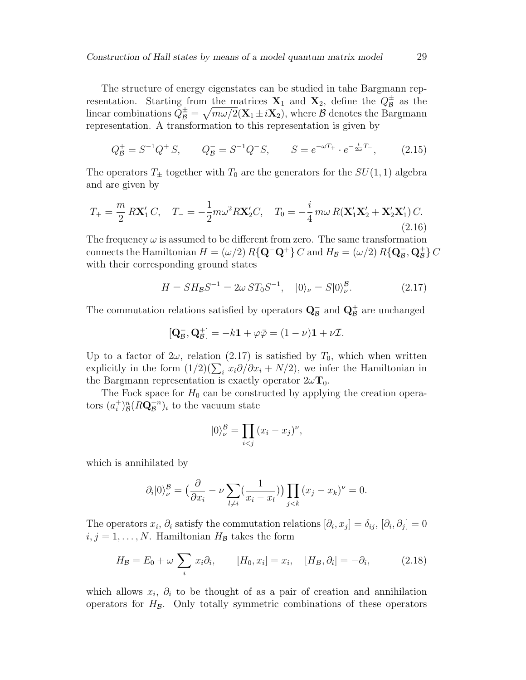The structure of energy eigenstates can be studied in tahe Bargmann representation. Starting from the matrices  $X_1$  and  $X_2$ , define the  $Q_B^{\pm}$  $\frac{1}{\mathcal{B}}$  as the linear combinations  $Q_B^{\pm} = \sqrt{m\omega/2} (\mathbf{X}_1 \pm i\mathbf{X}_2)$ , where  $\mathcal B$  denotes the Bargmann representation. A transformation to this representation is given by

$$
Q_B^+ = S^{-1}Q^+ S, \qquad Q_B^- = S^{-1}Q^- S, \qquad S = e^{-\omega T_+} \cdot e^{-\frac{i}{2\omega}T_-}, \tag{2.15}
$$

The operators  $T_{\pm}$  together with  $T_0$  are the generators for the  $SU(1,1)$  algebra and are given by

$$
T_{+} = \frac{m}{2} R \mathbf{X}'_1 C, \quad T_{-} = -\frac{1}{2} m \omega^2 R \mathbf{X}'_2 C, \quad T_0 = -\frac{i}{4} m \omega R (\mathbf{X}'_1 \mathbf{X}'_2 + \mathbf{X}'_2 \mathbf{X}'_1) C.
$$
\n(2.16)

The frequency  $\omega$  is assumed to be different from zero. The same transformation connects the Hamiltonian  $H = (\omega/2) R\{\mathbf{Q}^-\mathbf{Q}^+\} C$  and  $H_B = (\omega/2) R\{\mathbf{Q}^-\mathbf{Q}, \mathbf{Q}^+_B\} C$ with their corresponding ground states

$$
H = SH_{\mathcal{B}}S^{-1} = 2\omega ST_0S^{-1}, \quad |0\rangle_{\nu} = S|0\rangle_{\nu}^{\mathcal{B}}.
$$
 (2.17)

The commutation relations satisfied by operators  $\mathbf{Q}_{\mathcal{B}}^-$  and  $\mathbf{Q}_{\mathcal{B}}^+$  are unchanged

$$
[\mathbf{Q}_{\mathcal{B}}^-, \mathbf{Q}_{\mathcal{B}}^+] = -k\mathbf{1} + \varphi \bar{\varphi} = (1 - \nu)\mathbf{1} + \nu \mathcal{I}.
$$

Up to a factor of  $2\omega$ , relation (2.17) is satisfied by  $T_0$ , which when written explicitly in the form  $(1/2)(\sum_i x_i \partial/\partial x_i + N/2)$ , we infer the Hamiltonian in the Bargmann representation is exactly operator  $2\omega T_0$ .

The Fock space for  $H_0$  can be constructed by applying the creation operators  $(a_i^+$  $\binom{+}{i}^n_{\mathcal{B}}(R{\mathbf{Q}}_{\mathcal{B}}^{+n})_i$  to the vacuum state

$$
|0\rangle_{\nu}^{\mathcal{B}} = \prod_{i < j} (x_i - x_j)^{\nu},
$$

which is annihilated by

$$
\partial_i|0\rangle_{\nu}^{\mathcal{B}} = \left(\frac{\partial}{\partial x_i} - \nu \sum_{l \neq i} \left(\frac{1}{x_i - x_l}\right)\right) \prod_{j < k} (x_j - x_k)^{\nu} = 0.
$$

The operators  $x_i$ ,  $\partial_i$  satisfy the commutation relations  $[\partial_i, x_j] = \delta_{ij}$ ,  $[\partial_i, \partial_j] = 0$  $i, j = 1, \ldots, N$ . Hamiltonian  $H_{\mathcal{B}}$  takes the form

$$
H_{\mathcal{B}} = E_0 + \omega \sum_i x_i \partial_i, \qquad [H_0, x_i] = x_i, \quad [H_B, \partial_i] = -\partial_i,
$$
 (2.18)

which allows  $x_i$ ,  $\partial_i$  to be thought of as a pair of creation and annihilation operators for  $H_{\mathcal{B}}$ . Only totally symmetric combinations of these operators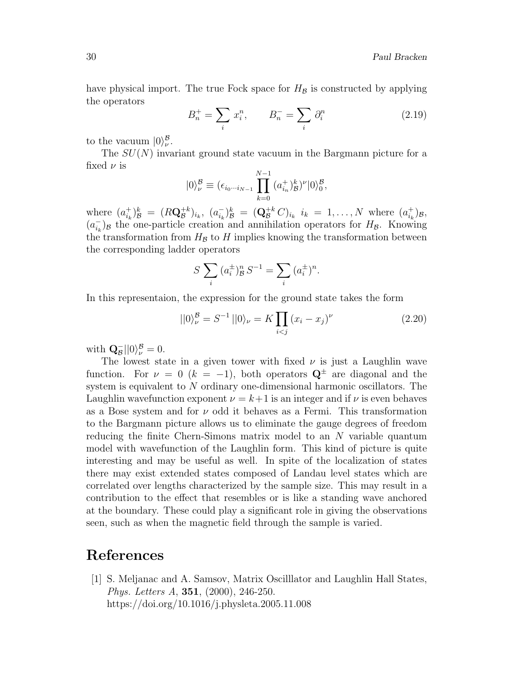have physical import. The true Fock space for  $H_{\mathcal{B}}$  is constructed by applying the operators

$$
B_n^+ = \sum_i x_i^n, \qquad B_n^- = \sum_i \partial_i^n \tag{2.19}
$$

to the vacuum  $|0\rangle_{\nu}^{\mathcal{B}}$ .

The  $SU(N)$  invariant ground state vacuum in the Bargmann picture for a fixed  $\nu$  is

$$
|0\rangle_{\nu}^{\mathcal{B}} \equiv (\epsilon_{i_0\cdots i_{N-1}} \prod_{k=0}^{N-1} (a_{i_n}^+)_\mathcal{B}^k)^\nu |0\rangle_0^{\mathcal{B}},
$$

where  $(a_{i_k}^+$  $\binom{+}{i_k}_{\mathcal{B}}^{k} = (R\mathbf{Q}_{\mathcal{B}}^{+k})_{i_k}, (a_{i_k}^{-k})$  $\int_{i_k}^{-} \int_{\mathcal{B}}^{k} = (\mathbf{Q}_{\mathcal{B}}^{+k} C)_{i_k} i_k = 1, \ldots, N$  where  $(a_{i_k}^{+})$  $_{i_{k}}^{+})_{\mathcal{B}},$  $(a_{i_k}^ \bar{i}_k$ )<sub>B</sub> the one-particle creation and annihilation operators for  $H_{\mathcal{B}}$ . Knowing the transformation from  $H_{\mathcal{B}}$  to H implies knowing the transformation between the corresponding ladder operators

$$
S \sum_{i} (a_i^{\pm})^n_{\mathcal{B}} S^{-1} = \sum_{i} (a_i^{\pm})^n.
$$

In this representaion, the expression for the ground state takes the form

$$
||0\rangle_{\nu}^{\mathcal{B}} = S^{-1}||0\rangle_{\nu} = K \prod_{i < j} (x_i - x_j)^{\nu} \tag{2.20}
$$

with  $\mathbf{Q}_{\mathcal{B}}^{-}||0\rangle_{\nu}^{\mathcal{B}}=0.$ 

The lowest state in a given tower with fixed  $\nu$  is just a Laughlin wave function. For  $\nu = 0$  ( $k = -1$ ), both operators  $\mathbf{Q}^{\pm}$  are diagonal and the system is equivalent to N ordinary one-dimensional harmonic oscillators. The Laughlin wavefunction exponent  $\nu = k+1$  is an integer and if  $\nu$  is even behaves as a Bose system and for  $\nu$  odd it behaves as a Fermi. This transformation to the Bargmann picture allows us to eliminate the gauge degrees of freedom reducing the finite Chern-Simons matrix model to an N variable quantum model with wavefunction of the Laughlin form. This kind of picture is quite interesting and may be useful as well. In spite of the localization of states there may exist extended states composed of Landau level states which are correlated over lengths characterized by the sample size. This may result in a contribution to the effect that resembles or is like a standing wave anchored at the boundary. These could play a significant role in giving the observations seen, such as when the magnetic field through the sample is varied.

## References

[1] S. Meljanac and A. Samsov, Matrix Oscilllator and Laughlin Hall States, Phys. Letters A, 351, (2000), 246-250. https://doi.org/10.1016/j.physleta.2005.11.008